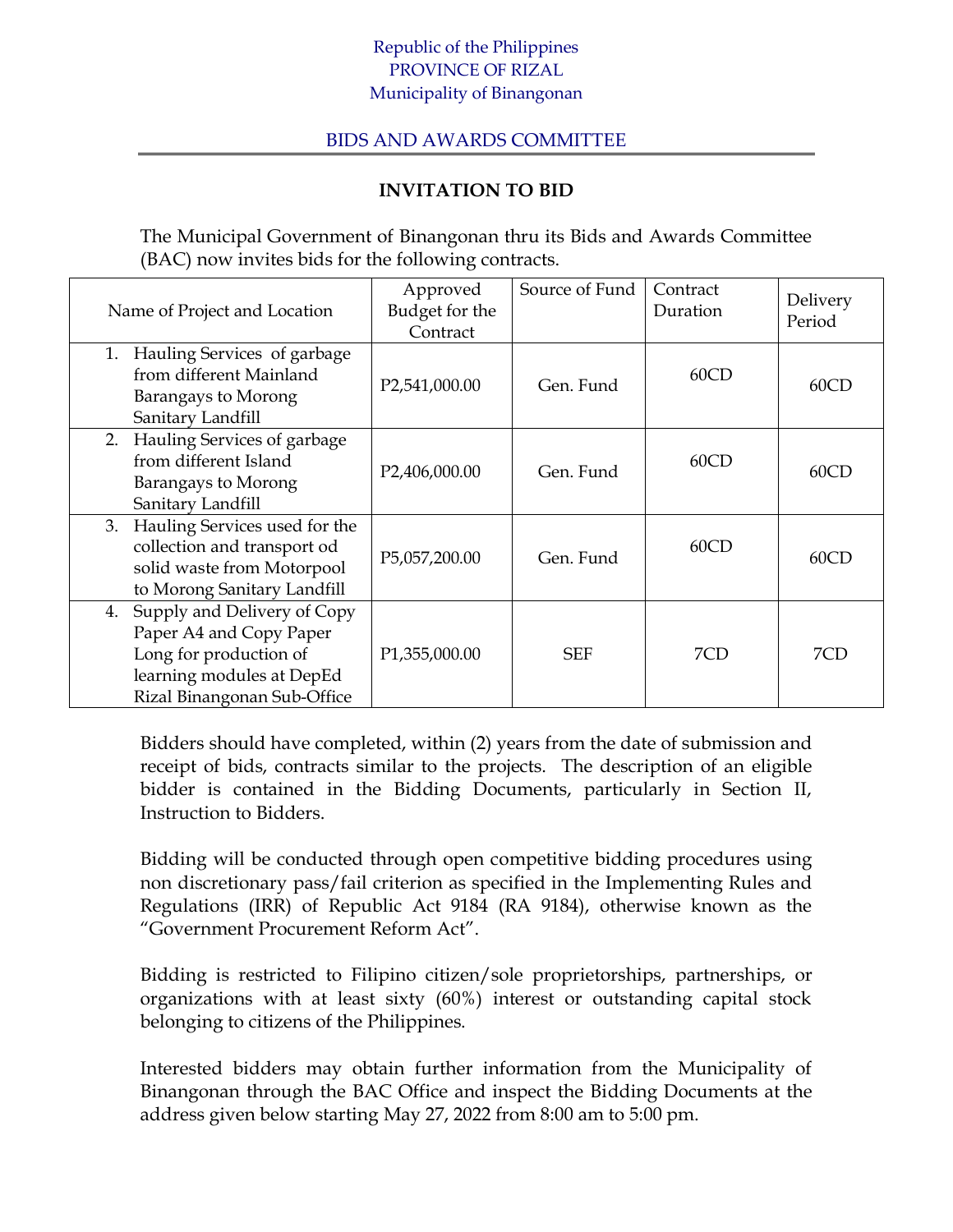## Republic of the Philippines PROVINCE OF RIZAL Municipality of Binangonan

## BIDS AND AWARDS COMMITTEE

## **INVITATION TO BID**

The Municipal Government of Binangonan thru its Bids and Awards Committee (BAC) now invites bids for the following contracts.

| Name of Project and Location                                                                                                                       | Approved<br>Budget for the<br>Contract | Source of Fund | Contract<br>Duration | Delivery<br>Period |
|----------------------------------------------------------------------------------------------------------------------------------------------------|----------------------------------------|----------------|----------------------|--------------------|
| Hauling Services of garbage<br>1.<br>from different Mainland<br>Barangays to Morong<br>Sanitary Landfill                                           | P2,541,000.00                          | Gen. Fund      | 60CD                 | 60CD               |
| Hauling Services of garbage<br>2.<br>from different Island<br>Barangays to Morong<br>Sanitary Landfill                                             | P2,406,000.00                          | Gen. Fund      | 60CD                 | 60CD               |
| Hauling Services used for the<br>3.<br>collection and transport od<br>solid waste from Motorpool<br>to Morong Sanitary Landfill                    | P5,057,200.00                          | Gen. Fund      | 60CD                 | 60CD               |
| Supply and Delivery of Copy<br>4.<br>Paper A4 and Copy Paper<br>Long for production of<br>learning modules at DepEd<br>Rizal Binangonan Sub-Office | P1,355,000.00                          | <b>SEF</b>     | 7CD                  | 7CD                |

Bidders should have completed, within (2) years from the date of submission and receipt of bids, contracts similar to the projects. The description of an eligible bidder is contained in the Bidding Documents, particularly in Section II, Instruction to Bidders.

Bidding will be conducted through open competitive bidding procedures using non discretionary pass/fail criterion as specified in the Implementing Rules and Regulations (IRR) of Republic Act 9184 (RA 9184), otherwise known as the "Government Procurement Reform Act".

Bidding is restricted to Filipino citizen/sole proprietorships, partnerships, or organizations with at least sixty (60%) interest or outstanding capital stock belonging to citizens of the Philippines.

Interested bidders may obtain further information from the Municipality of Binangonan through the BAC Office and inspect the Bidding Documents at the address given below starting May 27, 2022 from 8:00 am to 5:00 pm.